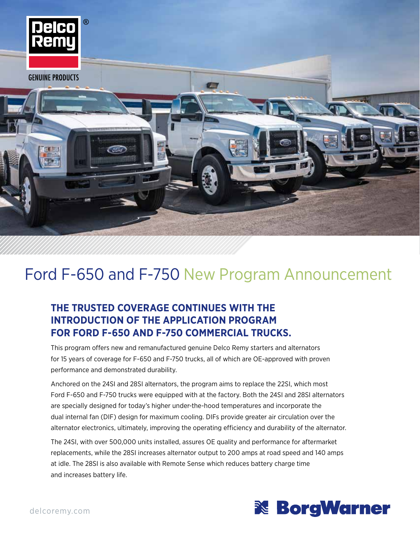

# Ford F-650 and F-750 New Program Announcement

### **THE TRUSTED COVERAGE CONTINUES WITH THE INTRODUCTION OF THE APPLICATION PROGRAM FOR FORD F-650 AND F-750 COMMERCIAL TRUCKS.**

This program offers new and remanufactured genuine Delco Remy starters and alternators for 15 years of coverage for F-650 and F-750 trucks, all of which are OE-approved with proven performance and demonstrated durability.

Anchored on the 24SI and 28SI alternators, the program aims to replace the 22SI, which most Ford F-650 and F-750 trucks were equipped with at the factory. Both the 24SI and 28SI alternators are specially designed for today's higher under-the-hood temperatures and incorporate the dual internal fan (DIF) design for maximum cooling. DIFs provide greater air circulation over the alternator electronics, ultimately, improving the operating efficiency and durability of the alternator.

The 24SI, with over 500,000 units installed, assures OE quality and performance for aftermarket replacements, while the 28SI increases alternator output to 200 amps at road speed and 140 amps at idle. The 28SI is also available with Remote Sense which reduces battery charge time and increases battery life.